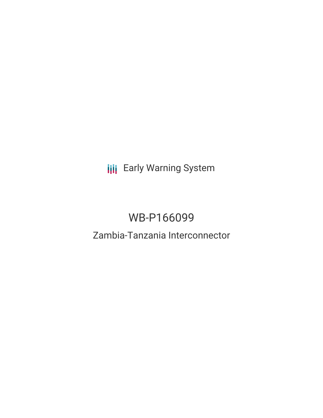**III** Early Warning System

# WB-P166099

## Zambia-Tanzania Interconnector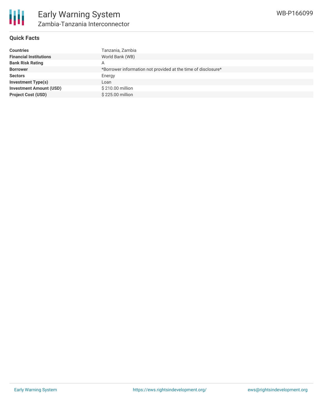### **Quick Facts**

| <b>Countries</b>               | Tanzania, Zambia                                              |
|--------------------------------|---------------------------------------------------------------|
| <b>Financial Institutions</b>  | World Bank (WB)                                               |
| <b>Bank Risk Rating</b>        | А                                                             |
| <b>Borrower</b>                | *Borrower information not provided at the time of disclosure* |
| <b>Sectors</b>                 | Energy                                                        |
| <b>Investment Type(s)</b>      | Loan                                                          |
| <b>Investment Amount (USD)</b> | \$210.00 million                                              |
| <b>Project Cost (USD)</b>      | \$225,00 million                                              |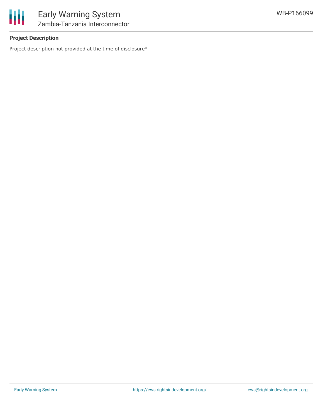

## **Project Description**

Project description not provided at the time of disclosure\*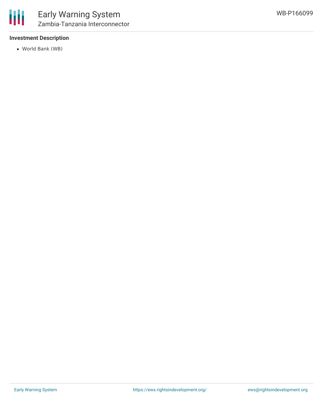

## **Investment Description**

World Bank (WB)